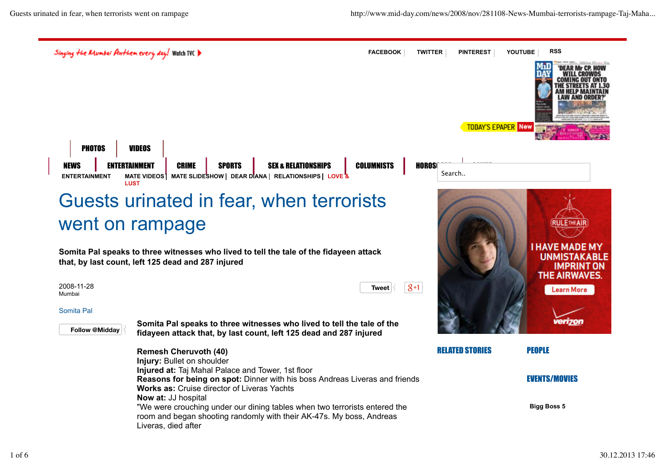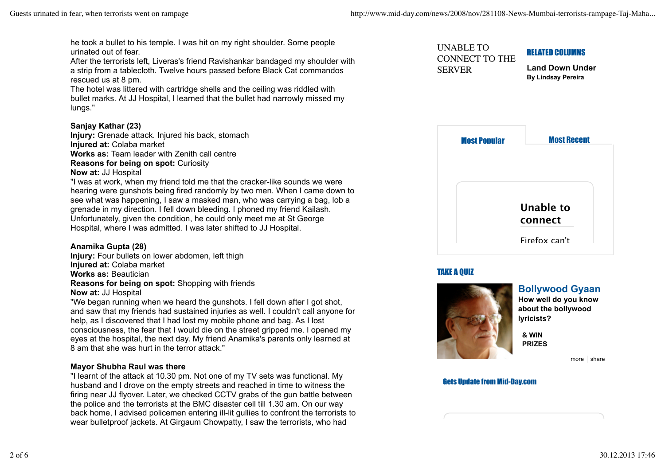he took a bullet to his temple. I was hit on my right shoulder. Some people urinated out of fear.

After the terrorists left, Liveras's friend Ravishankar bandaged my shoulder with a strip from a tablecloth. Twelve hours passed before Black Cat commandos rescued us at 8 pm.

The hotel was littered with cartridge shells and the ceiling was riddled with bullet marks. At JJ Hospital, I learned that the bullet had narrowly missed my lungs."

## **Sanjay Kathar (23)**

**Injury:** Grenade attack. Injured his back, stomach **Injured at:** Colaba market **Works as:** Team leader with Zenith call centre

**Reasons for being on spot:** Curiosity

**Now at:** JJ Hospital

"I was at work, when my friend told me that the cracker-like sounds we were hearing were gunshots being fired randomly by two men. When I came down to see what was happening, I saw a masked man, who was carrying a bag, lob a grenade in my direction. I fell down bleeding. I phoned my friend Kailash. Unfortunately, given the condition, he could only meet me at St George Hospital, where I was admitted. I was later shifted to JJ Hospital.

#### **Anamika Gupta (28)**

**Injury:** Four bullets on lower abdomen, left thigh **Injured at:** Colaba market **Works as:** Beautician **Reasons for being on spot:** Shopping with friends **Now at:** JJ Hospital

"We began running when we heard the gunshots. I fell down after I got shot, and saw that my friends had sustained injuries as well. I couldn't call anyone for help, as I discovered that I had lost my mobile phone and bag. As I lost consciousness, the fear that I would die on the street gripped me. I opened my eyes at the hospital, the next day. My friend Anamika's parents only learned at 8 am that she was hurt in the terror attack."

### **Mayor Shubha Raul was there**

"I learnt of the attack at 10.30 pm. Not one of my TV sets was functional. My husband and I drove on the empty streets and reached in time to witness the firing near JJ flyover. Later, we checked CCTV grabs of the gun battle between the police and the terrorists at the BMC disaster cell till 1.30 am. On our way back home, I advised policemen entering ill-lit gullies to confront the terrorists to wear bulletproof jackets. At Girgaum Chowpatty, I saw the terrorists, who had

| UNABLE TO             | <b>RELATED COLUMNS</b>    |
|-----------------------|---------------------------|
| <b>CONNECT TO THE</b> | <b>Land Down Under</b>    |
| <b>SERVER</b>         | <b>By Lindsay Pereira</b> |
| Haai Damulaw          | Maat Daaant               |



# TAKE A QUIZ



**Bollywood Gyaan**

**How well do you know about the bollywood lyricists?**

**& WIN PRIZES**

more  $\vert$  share

#### Gets Update from Mid-Day.com